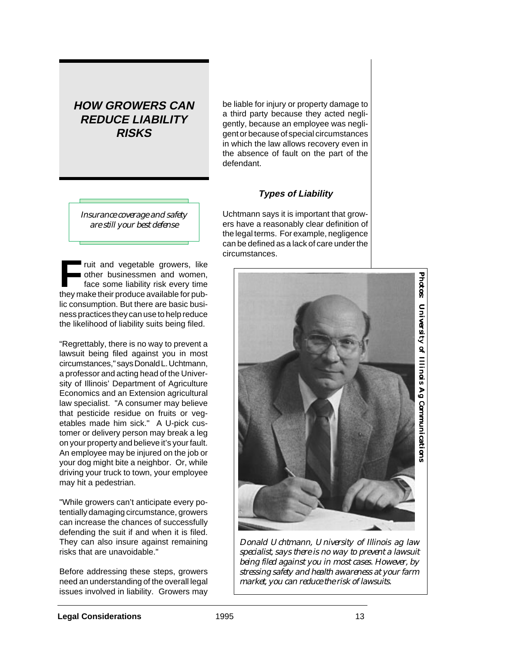# **HOW GROWERS CAN REDUCE LIABILITY RISKS**

be liable for injury or property damage to a third party because they acted negligently, because an employee was negligent or because of special circumstances in which the law allows recovery even in the absence of fault on the part of the defendant.

## **Types of Liability**

*Insurance coverage and safety are still your best defense*

**FR**<br>**FRU** ruit and vegetable growers, like<br>they make their produce available for published their produce available for published and the state of the state of the state of the state of the state of the state of the state other businessmen and women, face some liability risk every time they make their produce available for public consumption. But there are basic business practices they can use to help reduce the likelihood of liability suits being filed.

"Regrettably, there is no way to prevent a lawsuit being filed against you in most circumstances," says Donald L. Uchtmann, a professor and acting head of the University of Illinois' Department of Agriculture Economics and an Extension agricultural law specialist. "A consumer may believe that pesticide residue on fruits or vegetables made him sick." A U-pick customer or delivery person may break a leg on your property and believe it's your fault. An employee may be injured on the job or your dog might bite a neighbor. Or, while driving your truck to town, your employee may hit a pedestrian.

"While growers can't anticipate every potentially damaging circumstance, growers can increase the chances of successfully defending the suit if and when it is filed. They can also insure against remaining risks that are unavoidable."

Before addressing these steps, growers need an understanding of the overall legal issues involved in liability. Growers may

Uchtmann says it is important that growers have a reasonably clear definition of the legal terms. For example, negligence can be defined as a lack of care under the circumstances.



*Donald Uchtmann, University of Illinois ag law specialist, says there is no way to prevent a lawsuit being filed against you in most cases. However, by stressing safety and health awareness at your farm market, you can reduce the risk of lawsuits.*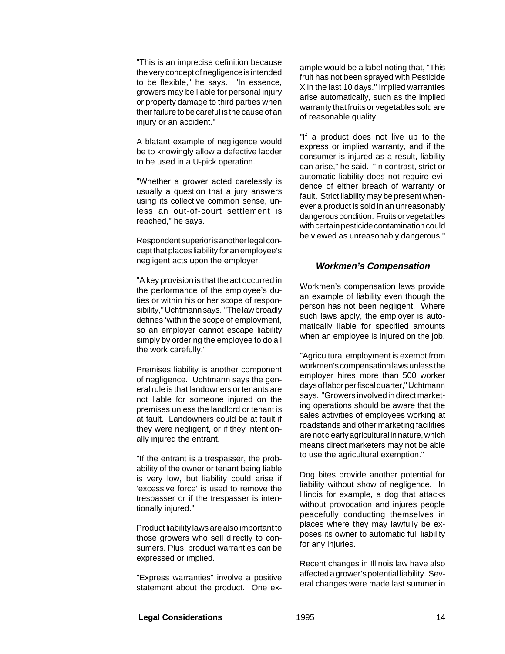"This is an imprecise definition because the very concept of negligence is intended to be flexible," he says. "In essence, growers may be liable for personal injury or property damage to third parties when their failure to be careful is the cause of an injury or an accident."

A blatant example of negligence would be to knowingly allow a defective ladder to be used in a U-pick operation.

"Whether a grower acted carelessly is usually a question that a jury answers using its collective common sense, unless an out-of-court settlement is reached," he says.

Respondent superior is another legal concept that places liability for an employee's negligent acts upon the employer.

"A key provision is that the act occurred in the performance of the employee's duties or within his or her scope of responsibility," Uchtmann says. "The law broadly defines 'within the scope of employment, so an employer cannot escape liability simply by ordering the employee to do all the work carefully."

Premises liability is another component of negligence. Uchtmann says the general rule is that landowners or tenants are not liable for someone injured on the premises unless the landlord or tenant is at fault. Landowners could be at fault if they were negligent, or if they intentionally injured the entrant.

"If the entrant is a trespasser, the probability of the owner or tenant being liable is very low, but liability could arise if 'excessive force' is used to remove the trespasser or if the trespasser is intentionally injured."

Product liability laws are also important to those growers who sell directly to consumers. Plus, product warranties can be expressed or implied.

"Express warranties" involve a positive statement about the product. One example would be a label noting that, "This fruit has not been sprayed with Pesticide X in the last 10 days." Implied warranties arise automatically, such as the implied warranty that fruits or vegetables sold are of reasonable quality.

"If a product does not live up to the express or implied warranty, and if the consumer is injured as a result, liability can arise," he said. "In contrast, strict or automatic liability does not require evidence of either breach of warranty or fault. Strict liability may be present whenever a product is sold in an unreasonably dangerous condition. Fruits or vegetables with certain pesticide contamination could be viewed as unreasonably dangerous."

### **Workmen's Compensation**

Workmen's compensation laws provide an example of liability even though the person has not been negligent. Where such laws apply, the employer is automatically liable for specified amounts when an employee is injured on the job.

"Agricultural employment is exempt from workmen's compensation laws unless the employer hires more than 500 worker days of labor per fiscal quarter," Uchtmann says. "Growers involved in direct marketing operations should be aware that the sales activities of employees working at roadstands and other marketing facilities are not clearly agricultural in nature, which means direct marketers may not be able to use the agricultural exemption."

Dog bites provide another potential for liability without show of negligence. In Illinois for example, a dog that attacks without provocation and injures people peacefully conducting themselves in places where they may lawfully be exposes its owner to automatic full liability for any injuries.

Recent changes in Illinois law have also affected a grower's potential liability. Several changes were made last summer in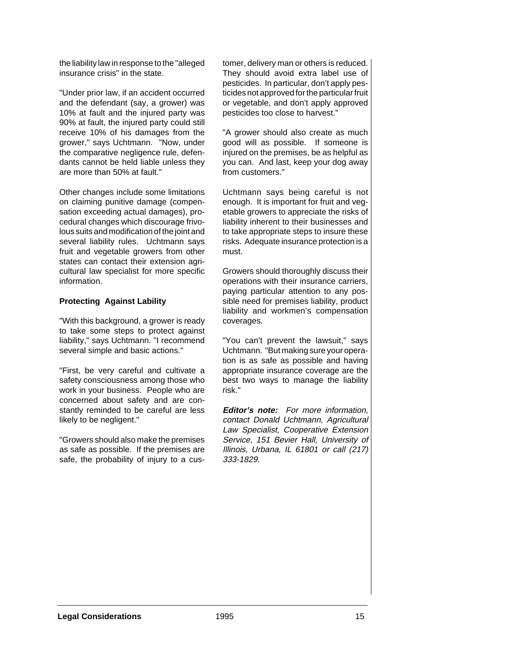the liability law in response to the "alleged insurance crisis" in the state.

"Under prior law, if an accident occurred and the defendant (say, a grower) was 10% at fault and the injured party was 90% at fault, the injured party could still receive 10% of his damages from the grower," says Uchtmann. "Now, under the comparative negligence rule, defendants cannot be held liable unless they are more than 50% at fault."

Other changes include some limitations on claiming punitive damage (compensation exceeding actual damages), procedural changes which discourage frivolous suits and modification of the joint and several liability rules. Uchtmann says fruit and vegetable growers from other states can contact their extension agricultural law specialist for more specific information.

#### **Protecting Against Lability**

"With this background, a grower is ready to take some steps to protect against liability," says Uchtmann. "I recommend several simple and basic actions."

"First, be very careful and cultivate a safety consciousness among those who work in your business. People who are concerned about safety and are constantly reminded to be careful are less likely to be negligent."

"Growers should also make the premises as safe as possible. If the premises are safe, the probability of injury to a customer, delivery man or others is reduced. They should avoid extra label use of pesticides. In particular, don't apply pesticides not approved for the particular fruit or vegetable, and don't apply approved pesticides too close to harvest."

"A grower should also create as much good will as possible. If someone is injured on the premises, be as helpful as you can. And last, keep your dog away from customers."

Uchtmann says being careful is not enough. It is important for fruit and vegetable growers to appreciate the risks of liability inherent to their businesses and to take appropriate steps to insure these risks. Adequate insurance protection is a must.

Growers should thoroughly discuss their operations with their insurance carriers, paying particular attention to any possible need for premises liability, product liability and workmen's compensation coverages.

"You can't prevent the lawsuit," says Uchtmann. "But making sure your operation is as safe as possible and having appropriate insurance coverage are the best two ways to manage the liability risk."

**Editor's note:** For more information, contact Donald Uchtmann, Agricultural Law Specialist, Cooperative Extension Service, 151 Bevier Hall, University of Illinois, Urbana, IL 61801 or call (217) 333-1829.